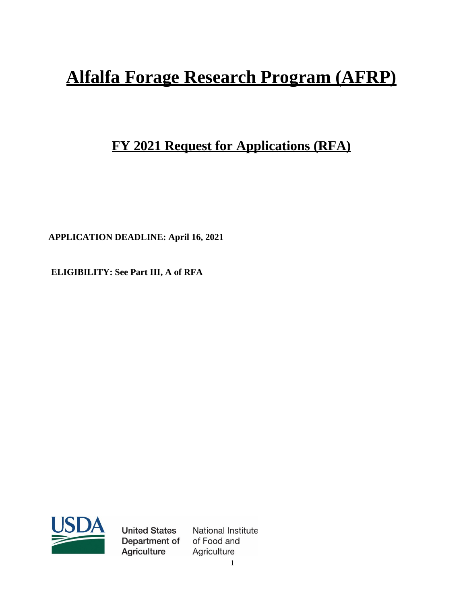# **Alfalfa Forage Research Program (AFRP)**

# **FY 2021 Request for Applications (RFA)**

**APPLICATION DEADLINE: April 16, 2021**

**ELIGIBILITY: See Part III, A of RFA**



**United States** Department of **Agriculture** 

National Institute of Food and Agriculture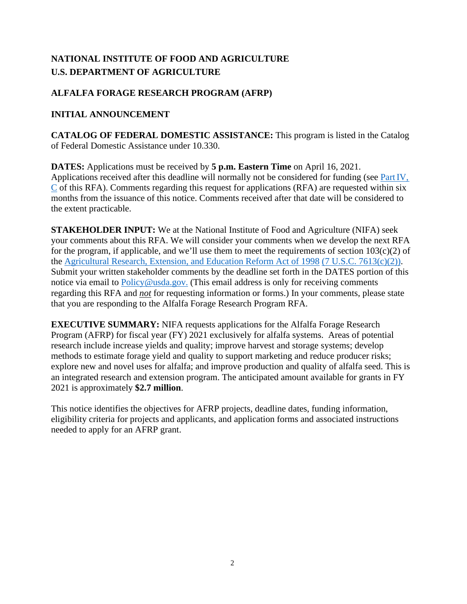# **NATIONAL INSTITUTE OF FOOD AND AGRICULTURE U.S. DEPARTMENT OF AGRICULTURE**

# **ALFALFA FORAGE RESEARCH PROGRAM (AFRP)**

## **INITIAL ANNOUNCEMENT**

**CATALOG OF FEDERAL DOMESTIC ASSISTANCE:** This program is listed in the Catalog of Federal Domestic Assistance under 10.330.

**DATES:** Applications must be received by **5 p.m. Eastern Time** on April 16, 2021. Applications received after this deadline will normally not be considered for funding (see [PartIV,](#page-12-0)  [C](#page-12-0) of this RFA). Comments regarding this request for applications (RFA) are requested within six months from the issuance of this notice. Comments received after that date will be considered to the extent practicable.

**STAKEHOLDER INPUT:** We at the National Institute of Food and Agriculture (NIFA) seek your comments about this RFA. We will consider your comments when we develop the next RFA for the program, if applicable, and we'll use them to meet the requirements of section  $103(c)(2)$  of the [Agricultural Research, Extension, and Education Reform Act of 1998](https://nifa.usda.gov/resource/agricultural-research-extension-and-education-reform-act-1998) [\(7 U.S.C. 7613\(c\)\(2\)\).](https://uscode.house.gov/view.xhtml?req=(title:7%20section:7613%20edition:prelim)%20OR%20(granuleid:USC-prelim-title7-section7613)&f=treesort&edition=prelim&num=0&jumpTo=true) Submit your written stakeholder comments by the deadline set forth in the DATES portion of this notice via email to [Policy@usda.gov.](mailto:Policy@usda.gov.) (This email address is only for receiving comments regarding this RFA and *not* for requesting information or forms.) In your comments, please state that you are responding to the Alfalfa Forage Research Program RFA.

**EXECUTIVE SUMMARY:** NIFA requests applications for the Alfalfa Forage Research Program (AFRP) for fiscal year (FY) 2021 exclusively for alfalfa systems. Areas of potential research include increase yields and quality; improve harvest and storage systems; develop methods to estimate forage yield and quality to support marketing and reduce producer risks; explore new and novel uses for alfalfa; and improve production and quality of alfalfa seed. This is an integrated research and extension program. The anticipated amount available for grants in FY 2021 is approximately **\$2.7 million**.

This notice identifies the objectives for AFRP projects, deadline dates, funding information, eligibility criteria for projects and applicants, and application forms and associated instructions needed to apply for an AFRP grant.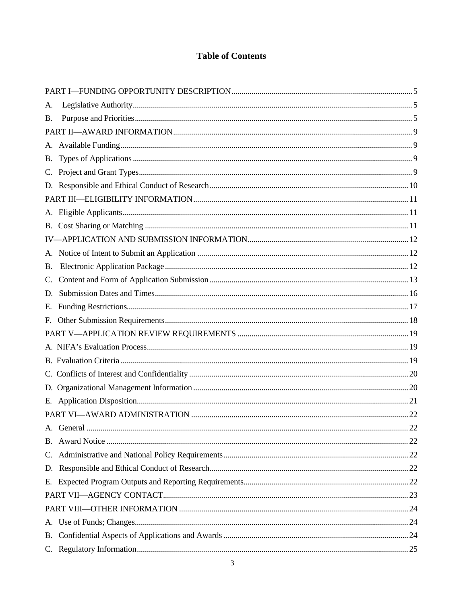# **Table of Contents**

| А.        |  |  |  |
|-----------|--|--|--|
| <b>B.</b> |  |  |  |
|           |  |  |  |
|           |  |  |  |
|           |  |  |  |
|           |  |  |  |
|           |  |  |  |
|           |  |  |  |
|           |  |  |  |
|           |  |  |  |
|           |  |  |  |
|           |  |  |  |
| <b>B.</b> |  |  |  |
|           |  |  |  |
| D.        |  |  |  |
|           |  |  |  |
|           |  |  |  |
|           |  |  |  |
|           |  |  |  |
|           |  |  |  |
|           |  |  |  |
|           |  |  |  |
|           |  |  |  |
|           |  |  |  |
|           |  |  |  |
|           |  |  |  |
|           |  |  |  |
|           |  |  |  |
|           |  |  |  |
|           |  |  |  |
|           |  |  |  |
|           |  |  |  |
|           |  |  |  |
|           |  |  |  |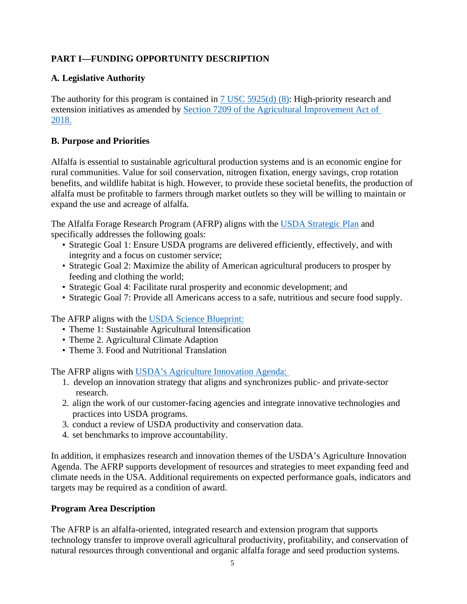# <span id="page-4-0"></span>**PART I—FUNDING OPPORTUNITY DESCRIPTION**

# <span id="page-4-1"></span>**A. Legislative Authority**

The authority for this program is contained in [7 USC 5925\(d\) \(8\):](https://uscode.house.gov/view.xhtml?req=(title:7%20section:5925%20edition:prelim)%20OR%20(granuleid:USC-prelim-title7-section5925)&f=treesort&edition=prelim&num=0&jumpTo=true) High-priority research and extension initiatives as amended by [Section 7209 of the Agricultural Improvement Act of](https://www.congress.gov/115/bills/hr2/BILLS-115hr2enr.pdf)  [2018.](https://www.congress.gov/115/bills/hr2/BILLS-115hr2enr.pdf)

# <span id="page-4-2"></span>**B. Purpose and Priorities**

Alfalfa is essential to sustainable agricultural production systems and is an economic engine for rural communities. Value for soil conservation, nitrogen fixation, energy savings, crop rotation benefits, and wildlife habitat is high. However, to provide these societal benefits, the production of alfalfa must be profitable to farmers through market outlets so they will be willing to maintain or expand the use and acreage of alfalfa.

The Alfalfa Forage Research Program (AFRP) aligns with the [USDA Strategic Plan](https://www.usda.gov/sites/default/files/documents/usda-strategic-plan-2018-2022.pdf).) and specifically addresses the following goals:

- Strategic Goal 1: Ensure USDA programs are delivered efficiently, effectively, and with integrity and a focus on customer service;
- Strategic Goal 2: Maximize the ability of American agricultural producers to prosper by feeding and clothing the world;
- Strategic Goal 4: Facilitate rural prosperity and economic development; and
- Strategic Goal 7: Provide all Americans access to a safe, nutritious and secure food supply.

The AFRP aligns with the [USDA Science Blueprint:](https://www.usda.gov/sites/default/files/documents/usda-science-blueprint.pdf)

- Theme 1: Sustainable Agricultural Intensification
- Theme 2. Agricultural Climate Adaption
- Theme 3. Food and Nutritional Translation

The AFRP aligns with [USDA's Agriculture Innovation Agenda:](https://www.usda.gov/sites/default/files/documents/agriculture-innovation-agenda-vision-statement.pdf) 

- 1. develop an innovation strategy that aligns and synchronizes public- and private-sector research.
- 2. align the work of our customer-facing agencies and integrate innovative technologies and practices into USDA programs.
- 3. conduct a review of USDA productivity and conservation data.
- 4. set benchmarks to improve accountability.

In addition, it emphasizes research and innovation themes of the USDA's Agriculture Innovation Agenda. The AFRP supports development of resources and strategies to meet expanding feed and climate needs in the USA. Additional requirements on expected performance goals, indicators and targets may be required as a condition of award.

# **Program Area Description**

The AFRP is an alfalfa-oriented, integrated research and extension program that supports technology transfer to improve overall agricultural productivity, profitability, and conservation of natural resources through conventional and organic alfalfa forage and seed production systems.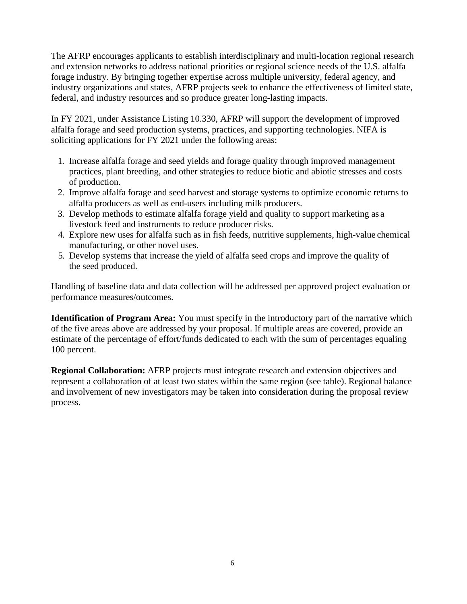The AFRP encourages applicants to establish interdisciplinary and multi-location regional research and extension networks to address national priorities or regional science needs of the U.S. alfalfa forage industry. By bringing together expertise across multiple university, federal agency, and industry organizations and states, AFRP projects seek to enhance the effectiveness of limited state, federal, and industry resources and so produce greater long-lasting impacts.

In FY 2021, under Assistance Listing 10.330, AFRP will support the development of improved alfalfa forage and seed production systems, practices, and supporting technologies. NIFA is soliciting applications for FY 2021 under the following areas:

- 1. Increase alfalfa forage and seed yields and forage quality through improved management practices, plant breeding, and other strategies to reduce biotic and abiotic stresses and costs of production.
- 2. Improve alfalfa forage and seed harvest and storage systems to optimize economic returns to alfalfa producers as well as end-users including milk producers.
- 3. Develop methods to estimate alfalfa forage yield and quality to support marketing as a livestock feed and instruments to reduce producer risks.
- 4. Explore new uses for alfalfa such as in fish feeds, nutritive supplements, high-value chemical manufacturing, or other novel uses.
- 5. Develop systems that increase the yield of alfalfa seed crops and improve the quality of the seed produced.

Handling of baseline data and data collection will be addressed per approved project evaluation or performance measures/outcomes.

**Identification of Program Area:** You must specify in the introductory part of the narrative which of the five areas above are addressed by your proposal. If multiple areas are covered, provide an estimate of the percentage of effort/funds dedicated to each with the sum of percentages equaling 100 percent.

**Regional Collaboration:** AFRP projects must integrate research and extension objectives and represent a collaboration of at least two states within the same region (see table). Regional balance and involvement of new investigators may be taken into consideration during the proposal review process.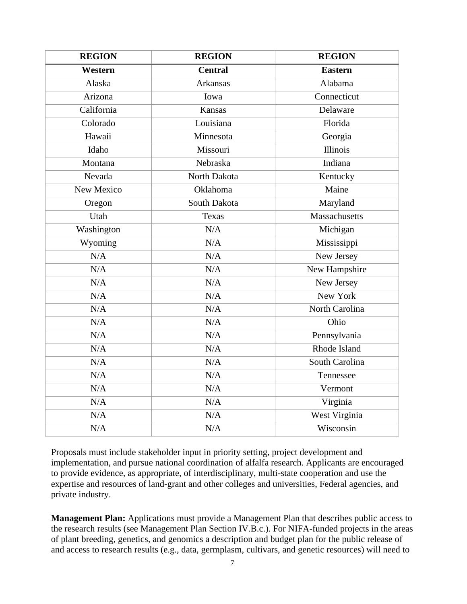| <b>REGION</b> | <b>REGION</b>   | <b>REGION</b>  |
|---------------|-----------------|----------------|
| Western       | <b>Central</b>  | <b>Eastern</b> |
| Alaska        | <b>Arkansas</b> | Alabama        |
| Arizona       | Iowa            | Connecticut    |
| California    | <b>Kansas</b>   | Delaware       |
| Colorado      | Louisiana       | Florida        |
| Hawaii        | Minnesota       | Georgia        |
| Idaho         | Missouri        | Illinois       |
| Montana       | Nebraska        | Indiana        |
| Nevada        | North Dakota    | Kentucky       |
| New Mexico    | Oklahoma        | Maine          |
| Oregon        | South Dakota    | Maryland       |
| Utah          | Texas           | Massachusetts  |
| Washington    | N/A             | Michigan       |
| Wyoming       | N/A             | Mississippi    |
| N/A           | N/A             | New Jersey     |
| N/A           | N/A             | New Hampshire  |
| N/A           | N/A             | New Jersey     |
| N/A           | N/A             | New York       |
| N/A           | N/A             | North Carolina |
| N/A           | N/A             | Ohio           |
| N/A           | N/A             | Pennsylvania   |
| N/A           | N/A             | Rhode Island   |
| N/A           | N/A             | South Carolina |
| N/A           | N/A             | Tennessee      |
| N/A           | $\rm N/A$       | Vermont        |
| N/A           | N/A             | Virginia       |
| N/A           | N/A             | West Virginia  |
| N/A           | N/A             | Wisconsin      |

Proposals must include stakeholder input in priority setting, project development and implementation, and pursue national coordination of alfalfa research. Applicants are encouraged to provide evidence, as appropriate, of interdisciplinary, multi-state cooperation and use the expertise and resources of land-grant and other colleges and universities, Federal agencies, and private industry.

**Management Plan:** Applications must provide a Management Plan that describes public access to the research results (see Management Plan Section IV.B.c.). For NIFA-funded projects in the areas of plant breeding, genetics, and genomics a description and budget plan for the public release of and access to research results (e.g., data, germplasm, cultivars, and genetic resources) will need to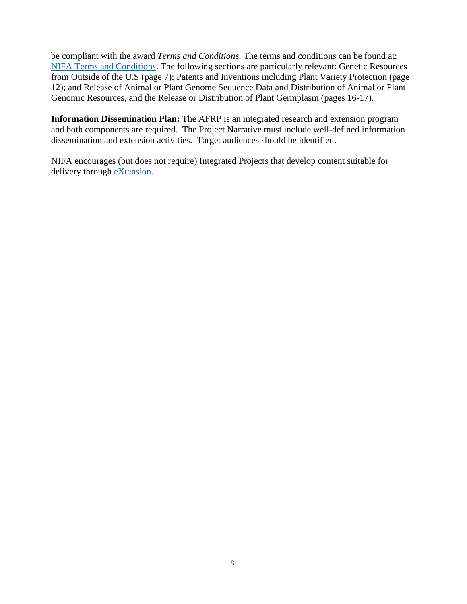be compliant with the award *Terms and Conditions*. The terms and conditions can be found at: [NIFA Terms and Conditions.](https://nifa.usda.gov/terms-and-conditions) The following sections are particularly relevant: Genetic Resources from Outside of the U.S (page 7); Patents and Inventions including Plant Variety Protection (page 12); and Release of Animal or Plant Genome Sequence Data and Distribution of Animal or Plant Genomic Resources, and the Release or Distribution of Plant Germplasm (pages 16-17).

**Information Dissemination Plan:** The AFRP is an integrated research and extension program and both components are required. The Project Narrative must include well-defined information dissemination and extension activities. Target audiences should be identified.

NIFA encourages (but does not require) Integrated Projects that develop content suitable for delivery through [eXtension.](https://impact.extension.org/)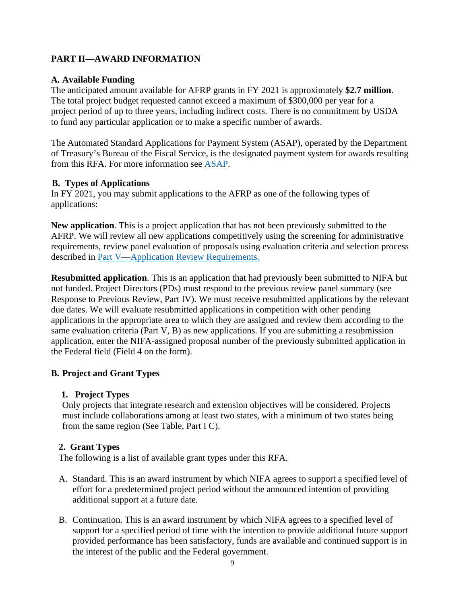# <span id="page-8-0"></span>**PART II—AWARD INFORMATION**

#### <span id="page-8-1"></span>**A. Available Funding**

The anticipated amount available for AFRP grants in FY 2021 is approximately **\$2.7 million**. The total project budget requested cannot exceed a maximum of \$300,000 per year for a project period of up to three years, including indirect costs. There is no commitment by USDA to fund any particular application or to make a specific number of awards.

The Automated Standard Applications for Payment System (ASAP), operated by the Department of Treasury's Bureau of the Fiscal Service, is the designated payment system for awards resulting from this RFA. For more information see [ASAP.](https://fiscal.treasury.gov/asap/)

#### <span id="page-8-2"></span>**B. Types of Applications**

In FY 2021, you may submit applications to the AFRP as one of the following types of applications:

**New application**. This is a project application that has not been previously submitted to the AFRP. We will review all new applications competitively using the screening for administrative requirements, review panel evaluation of proposals using evaluation criteria and selection process described in [Part V—Application Review Requirements.](#page-18-0)

**Resubmitted application**. This is an application that had previously been submitted to NIFA but not funded. Project Directors (PDs) must respond to the previous review panel summary (see Response to Previous Review, Part IV). We must receive resubmitted applications by the relevant due dates. We will evaluate resubmitted applications in competition with other pending applications in the appropriate area to which they are assigned and review them according to the same evaluation criteria (Part V, B) as new applications. If you are submitting a resubmission application, enter the NIFA-assigned proposal number of the previously submitted application in the Federal field (Field 4 on the form).

#### <span id="page-8-3"></span>**B. Project and Grant Types**

#### **1. Project Types**

Only projects that integrate research and extension objectives will be considered. Projects must include collaborations among at least two states, with a minimum of two states being from the same region (See Table, Part I C).

#### **2. Grant Types**

The following is a list of available grant types under this RFA.

- A. Standard. This is an award instrument by which NIFA agrees to support a specified level of effort for a predetermined project period without the announced intention of providing additional support at a future date.
- B. Continuation. This is an award instrument by which NIFA agrees to a specified level of support for a specified period of time with the intention to provide additional future support provided performance has been satisfactory, funds are available and continued support is in the interest of the public and the Federal government.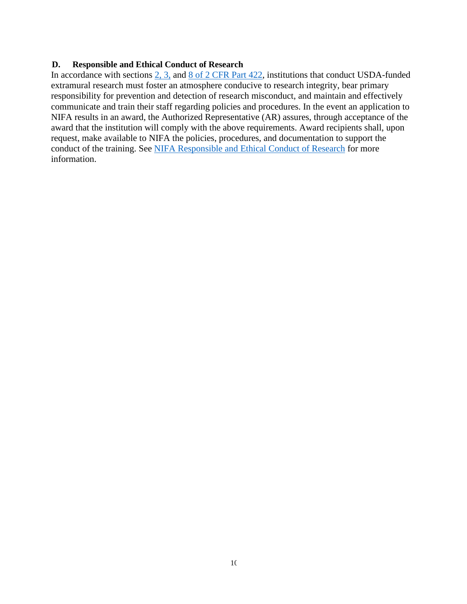#### <span id="page-9-0"></span>**D. Responsible and Ethical Conduct of Research**

In accordance with sections [2, 3,](https://www.ecfr.gov/cgi-bin/text-idx?SID=08172dc2f79090bfb0557ff29d79fb1d&mc=true&node=pt2.1.422&rgn=div5#se2.1.422_12) and [8 of 2 CFR Part 422,](https://www.ecfr.gov/cgi-bin/text-idx?SID=08172dc2f79090bfb0557ff29d79fb1d&mc=true&node=pt2.1.422&rgn=div5#se2.1.422_18) institutions that conduct USDA-funded extramural research must foster an atmosphere conducive to research integrity, bear primary responsibility for prevention and detection of research misconduct, and maintain and effectively communicate and train their staff regarding policies and procedures. In the event an application to NIFA results in an award, the Authorized Representative (AR) assures, through acceptance of the award that the institution will comply with the above requirements. Award recipients shall, upon request, make available to NIFA the policies, procedures, and documentation to support the conduct of the training. See [NIFA Responsible and Ethical Conduct of Research](https://nifa.usda.gov/responsible-and-ethical-conduct-research) for more information.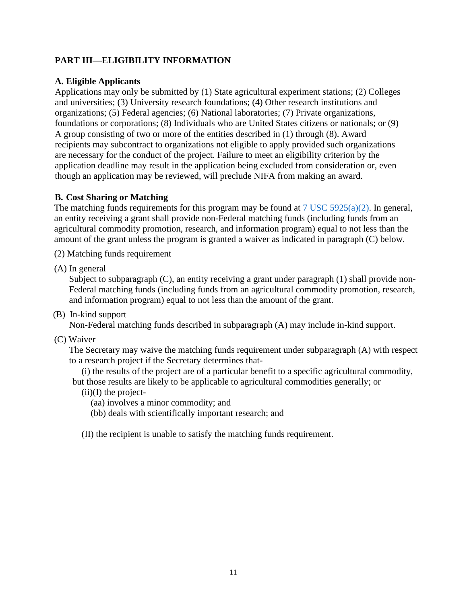# <span id="page-10-0"></span>**PART III—ELIGIBILITY INFORMATION**

#### <span id="page-10-1"></span>**A. Eligible Applicants**

Applications may only be submitted by (1) State agricultural experiment stations; (2) Colleges and universities; (3) University research foundations; (4) Other research institutions and organizations; (5) Federal agencies; (6) National laboratories; (7) Private organizations, foundations or corporations; (8) Individuals who are United States citizens or nationals; or (9) A group consisting of two or more of the entities described in (1) through (8). Award recipients may subcontract to organizations not eligible to apply provided such organizations are necessary for the conduct of the project. Failure to meet an eligibility criterion by the application deadline may result in the application being excluded from consideration or, even though an application may be reviewed, will preclude NIFA from making an award.

#### <span id="page-10-2"></span>**B. Cost Sharing or Matching**

The matching funds requirements for this program may be found at  $7 \text{ USC } 5925(a)(2)$ . In general, an entity receiving a grant shall provide non-Federal matching funds (including funds from an agricultural commodity promotion, research, and information program) equal to not less than the amount of the grant unless the program is granted a waiver as indicated in paragraph (C) below.

(2) Matching funds requirement

(A) In general

Subject to subparagraph (C), an entity receiving a grant under paragraph (1) shall provide non-Federal matching funds (including funds from an agricultural commodity promotion, research, and information program) equal to not less than the amount of the grant.

(B) In-kind support

Non-Federal matching funds described in subparagraph (A) may include in-kind support.

(C) Waiver

The Secretary may waive the matching funds requirement under subparagraph (A) with respect to a research project if the Secretary determines that-

(i) the results of the project are of a particular benefit to a specific agricultural commodity, but those results are likely to be applicable to agricultural commodities generally; or

 $(ii)(I)$  the project-

(aa) involves a minor commodity; and

(bb) deals with scientifically important research; and

(II) the recipient is unable to satisfy the matching funds requirement.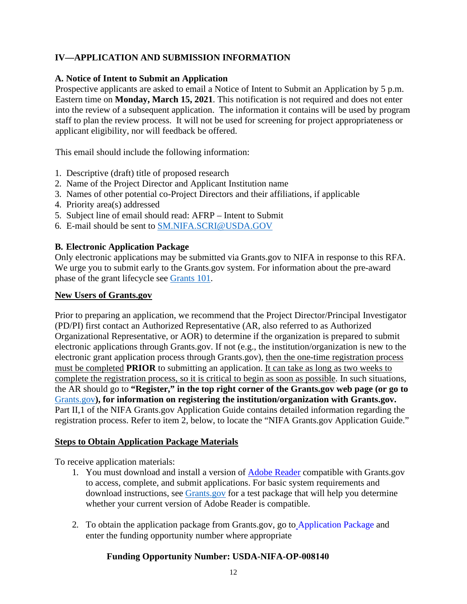# <span id="page-11-0"></span>**IV—APPLICATION AND SUBMISSION INFORMATION**

#### <span id="page-11-1"></span>**A. Notice of Intent to Submit an Application**

Prospective applicants are asked to email a Notice of Intent to Submit an Application by 5 p.m. Eastern time on **Monday, March 15, 2021**. This notification is not required and does not enter into the review of a subsequent application. The information it contains will be used by program staff to plan the review process. It will not be used for screening for project appropriateness or applicant eligibility, nor will feedback be offered.

This email should include the following information:

- 1. Descriptive (draft) title of proposed research
- 2. Name of the Project Director and Applicant Institution name
- 3. Names of other potential co-Project Directors and their affiliations, if applicable
- 4. Priority area(s) addressed
- 5. Subject line of email should read: AFRP Intent to Submit
- 6. E-mail should be sent to [SM.NIFA.SCRI@USDA.GOV](mailto:SM.NIFA.SCRI@USDA.GOV)

#### <span id="page-11-2"></span>**B. Electronic Application Package**

Only electronic applications may be submitted via Grants.gov to NIFA in response to this RFA. We urge you to submit early to the Grants.gov system. For information about the pre-award phase of the grant lifecycle see [Grants 101.](https://www.grants.gov/web/grants/learn-grants/grants-101/pre-award-phase.html)

#### **New Users of Grants.gov**

Prior to preparing an application, we recommend that the Project Director/Principal Investigator (PD/PI) first contact an Authorized Representative (AR, also referred to as Authorized Organizational Representative, or AOR) to determine if the organization is prepared to submit electronic applications through Grants.gov. If not (e.g., the institution/organization is new to the electronic grant application process through Grants.gov), then the one-time registration process must be completed **PRIOR** to submitting an application. It can take as long as two weeks to complete the registration process, so it is critical to begin as soon as possible. In such situations, the AR should go to **"Register," in the top right corner of the Grants.gov web page (or go to**  [Grants.gov](https://usdagcc-my.sharepoint.com/personal/kevin_siegmund_usda_gov/Documents/RFAs/FY2021/01.20.2021%20BUCKET/Alfalfa%20and%20Forage%20Research%20Program%20(AFRP)/12.30.2020%20Version%20TO%20%20Susan/%20Register%20at%20Grants.gov)**), for information on registering the institution/organization with Grants.gov.**  Part II,1 of the NIFA Grants.gov Application Guide contains detailed information regarding the registration process. Refer to item 2, below, to locate the "NIFA Grants.gov Application Guide."

#### **Steps to Obtain Application Package Materials**

To receive application materials:

- 1. You must download and install a version of [Adobe Reader](https://get.adobe.com/reader/) compatible with Grants.gov to access, complete, and submit applications. For basic system requirements and download instructions, see [Grants.gov](https://www.grants.gov/web/grants/applicants/adobe-software-compatibility.html) for a test package that will help you determine whether your current version of Adobe Reader is compatible.
- 2. To obtain the application package from Grants.gov, go to [Application Package](http://www.grants.gov/web/grants/applicants/download-application-package.html) and enter the funding opportunity number where appropriate

#### **Funding Opportunity Number: USDA-NIFA-OP-008140**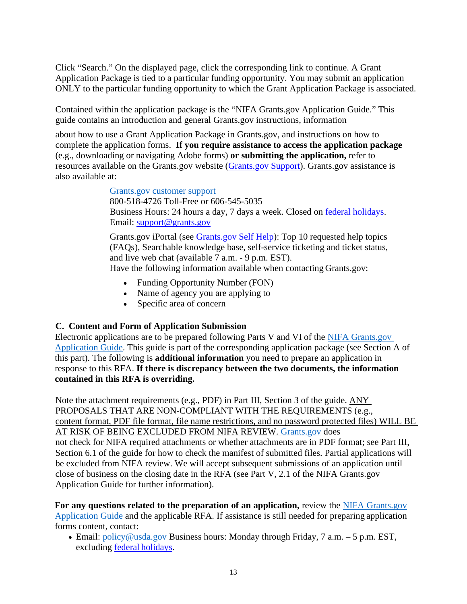Click "Search." On the displayed page, click the corresponding link to continue. A Grant Application Package is tied to a particular funding opportunity. You may submit an application ONLY to the particular funding opportunity to which the Grant Application Package is associated.

Contained within the application package is the "NIFA Grants.gov Application Guide." This guide contains an introduction and general Grants.gov instructions, information

about how to use a Grant Application Package in Grants.gov, and instructions on how to complete the application forms. **If you require assistance to access the application package**  (e.g., downloading or navigating Adobe forms) **or submitting the application,** refer to resources available on the Grants.gov website [\(Grants.gov Support\)](https://www.grants.gov/web/grants/support.html). Grants.gov assistance is also available at:

[Grants.gov customer support](https://www.grants.gov/web/grants/support.html)

800-518-4726 Toll-Free or 606-545-5035 Business Hours: 24 hours a day, 7 days a week. Closed on **federal holidays**. Email: [support@grants.gov](mailto:support@grants.gov)

Grants.gov iPortal (see [Grants.gov Self Help\)](https://grants-portal.psc.gov/Welcome.aspx?pt=Grants): Top 10 requested help topics (FAQs), Searchable knowledge base, self-service ticketing and ticket status, and live web chat (available 7 a.m. - 9 p.m. EST).

Have the following information available when contacting Grants.gov:

- Funding Opportunity Number (FON)
- Name of agency you are applying to
- Specific area of concern

# <span id="page-12-0"></span>**C. Content and Form of Application Submission**

Electronic applications are to be prepared following Parts V and VI of the [NIFA Grants.gov](https://apply07.grants.gov/apply/opportunities/instructions/PKG00249520-instructions.pdf) [Application Guide.](https://apply07.grants.gov/apply/opportunities/instructions/PKG00249520-instructions.pdf) This guide is part of the corresponding application package (see Section A of this part). The following is **additional information** you need to prepare an application in response to this RFA. **If there is discrepancy between the two documents, the information contained in this RFA is overriding.**

Note the attachment requirements (e.g., PDF) in Part III, Section 3 of the guide. ANY PROPOSALS THAT ARE NON-COMPLIANT WITH THE REQUIREMENTS (e.g., content format, PDF file format, file name restrictions, and no password protected files) WILL BE AT RISK OF BEING EXCLUDED FROM NIFA REVIEW. [Grants.gov](https://www.grants.gov/) does not check for NIFA required attachments or whether attachments are in PDF format; see Part III, Section 6.1 of the guide for how to check the manifest of submitted files. Partial applications will be excluded from NIFA review. We will accept subsequent submissions of an application until close of business on the closing date in the RFA (see Part V, 2.1 of the NIFA Grants.gov Application Guide for further information).

**For any questions related to the preparation of an application,** review the [NIFA Grants.gov](https://apply07.grants.gov/apply/opportunities/instructions/PKG00249520-instructions.pdf)  [Application Guide](https://apply07.grants.gov/apply/opportunities/instructions/PKG00249520-instructions.pdf) and the applicable RFA. If assistance is still needed for preparing application forms content, contact:

• Email: [policy@usda.gov](mailto:policy@usda.gov) Business hours: Monday through Friday, 7 a.m. – 5 p.m. EST, excluding [federal holidays.](https://www.opm.gov/policy-data-oversight/pay-leave/federal-holidays/#url=2021)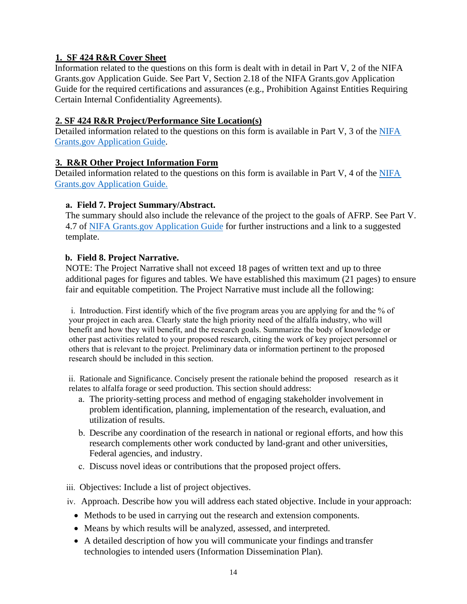# **1. SF 424 R&R Cover Sheet**

Information related to the questions on this form is dealt with in detail in Part V, 2 of the NIFA Grants.gov Application Guide. See Part V, Section 2.18 of the NIFA Grants.gov Application Guide for the required certifications and assurances (e.g., Prohibition Against Entities Requiring Certain Internal Confidentiality Agreements).

#### **2. SF 424 R&R Project/Performance Site Location(s)**

Detailed information related to the questions on this form is available in Part V, 3 of the [NIFA](https://apply07.grants.gov/apply/opportunities/instructions/PKG00249520-instructions.pdf)  [Grants.gov Application Guide.](https://apply07.grants.gov/apply/opportunities/instructions/PKG00249520-instructions.pdf)

#### **3. R&R Other Project Information Form**

Detailed information related to the questions on this form is available in Part V, 4 of the [NIFA](https://apply07.grants.gov/apply/opportunities/instructions/PKG00249520-instructions.pdf)  [Grants.gov Application Guide.](https://apply07.grants.gov/apply/opportunities/instructions/PKG00249520-instructions.pdf)

#### **a. Field 7. Project Summary/Abstract.**

The summary should also include the relevance of the project to the goals of AFRP. See Part V. 4.7 of [NIFA Grants.gov Application Guide](https://apply07.grants.gov/apply/opportunities/instructions/PKG00249520-instructions.pdf) for further instructions and a link to a suggested template.

#### **b. Field 8. Project Narrative.**

NOTE: The Project Narrative shall not exceed 18 pages of written text and up to three additional pages for figures and tables. We have established this maximum (21 pages) to ensure fair and equitable competition. The Project Narrative must include all the following:

i. Introduction. First identify which of the five program areas you are applying for and the % of your project in each area. Clearly state the high priority need of the alfalfa industry, who will benefit and how they will benefit, and the research goals. Summarize the body of knowledge or other past activities related to your proposed research, citing the work of key project personnel or others that is relevant to the project. Preliminary data or information pertinent to the proposed research should be included in this section.

ii. Rationale and Significance. Concisely present the rationale behind the proposed research as it relates to alfalfa forage or seed production. This section should address:

- a. The priority-setting process and method of engaging stakeholder involvement in problem identification, planning, implementation of the research, evaluation, and utilization of results.
- b. Describe any coordination of the research in national or regional efforts, and how this research complements other work conducted by land-grant and other universities, Federal agencies, and industry.
- c. Discuss novel ideas or contributions that the proposed project offers.

iii. Objectives: Include a list of project objectives.

- iv. Approach. Describe how you will address each stated objective. Include in your approach:
	- Methods to be used in carrying out the research and extension components.
	- Means by which results will be analyzed, assessed, and interpreted.
	- A detailed description of how you will communicate your findings and transfer technologies to intended users (Information Dissemination Plan).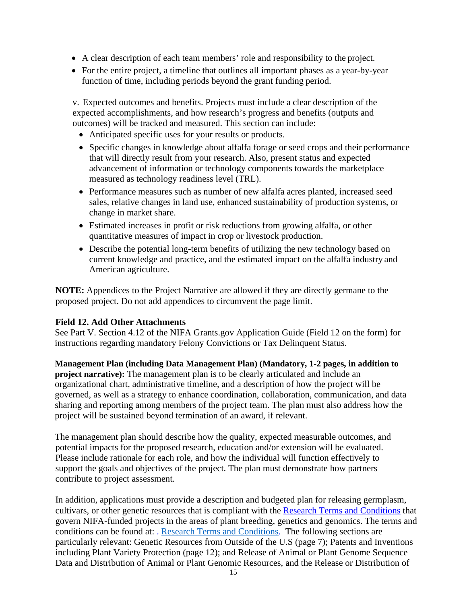- A clear description of each team members' role and responsibility to the project.
- For the entire project, a timeline that outlines all important phases as a year-by-year function of time, including periods beyond the grant funding period.

v. Expected outcomes and benefits. Projects must include a clear description of the expected accomplishments, and how research's progress and benefits (outputs and outcomes) will be tracked and measured. This section can include:

- Anticipated specific uses for your results or products.
- Specific changes in knowledge about alfalfa forage or seed crops and their performance that will directly result from your research. Also, present status and expected advancement of information or technology components towards the marketplace measured as technology readiness level (TRL).
- Performance measures such as number of new alfalfa acres planted, increased seed sales, relative changes in land use, enhanced sustainability of production systems, or change in market share.
- Estimated increases in profit or risk reductions from growing alfalfa, or other quantitative measures of impact in crop or livestock production.
- Describe the potential long-term benefits of utilizing the new technology based on current knowledge and practice, and the estimated impact on the alfalfa industry and American agriculture.

**NOTE:** Appendices to the Project Narrative are allowed if they are directly germane to the proposed project. Do not add appendices to circumvent the page limit.

#### **Field 12. Add Other Attachments**

See Part V. Section 4.12 of the NIFA Grants.gov Application Guide (Field 12 on the form) for instructions regarding mandatory Felony Convictions or Tax Delinquent Status.

**Management Plan (including Data Management Plan) (Mandatory, 1-2 pages, in addition to project narrative):** The management plan is to be clearly articulated and include an organizational chart, administrative timeline, and a description of how the project will be governed, as well as a strategy to enhance coordination, collaboration, communication, and data sharing and reporting among members of the project team. The plan must also address how the project will be sustained beyond termination of an award, if relevant.

The management plan should describe how the quality, expected measurable outcomes, and potential impacts for the proposed research, education and/or extension will be evaluated. Please include rationale for each role, and how the individual will function effectively to support the goals and objectives of the project. The plan must demonstrate how partners contribute to project assessment.

In addition, applications must provide a description and budgeted plan for releasing germplasm, cultivars, or other genetic resources that is compliant with the [Research Terms and Conditions](https://www.nsf.gov/bfa/dias/policy/fedrtc/agencyspecifics/nifa_1120.pdf) that govern NIFA-funded projects in the areas of plant breeding, genetics and genomics. The terms and conditions can be found at: [.](http://www.nsf.gov/pubs/policydocs/rtc/agencyspecifics/nifa_1014.pdf) [Research Terms and Conditions.](https://www.nsf.gov/bfa/dias/policy/fedrtc/agencyspecifics/nifa_1120.pdf) The following sections are particularly relevant: Genetic Resources from Outside of the U.S (page 7); Patents and Inventions including Plant Variety Protection (page 12); and Release of Animal or Plant Genome Sequence Data and Distribution of Animal or Plant Genomic Resources, and the Release or Distribution of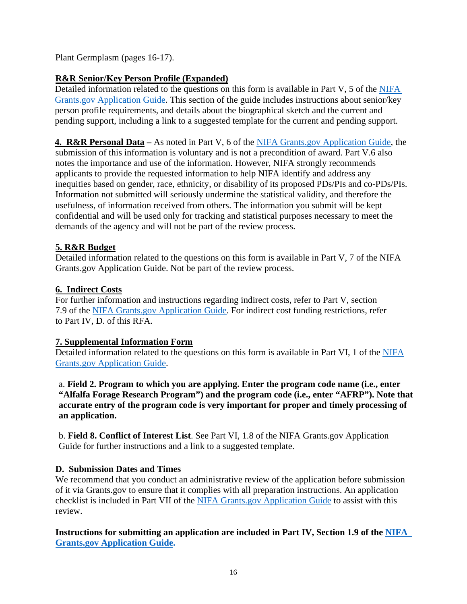Plant Germplasm (pages 16-17).

# **R&R Senior/Key Person Profile (Expanded)**

Detailed information related to the questions on this form is available in Part V, 5 of the NIFA [Grants.gov Application Guide.](https://apply07.grants.gov/apply/opportunities/instructions/PKG00249520-instructions.pdf) This section of the guide includes instructions about senior/key person profile requirements, and details about the biographical sketch and the current and pending support, including a link to a suggested template for the current and pending support.

## **4. R&R Personal Data –** As noted in Part V, 6 of the [NIFA Grants.gov Application Guide,](https://apply07.grants.gov/apply/opportunities/instructions/PKG00249520-instructions.pdf) the

submission of this information is voluntary and is not a precondition of award. Part V.6 also notes the importance and use of the information. However, NIFA strongly recommends applicants to provide the requested information to help NIFA identify and address any inequities based on gender, race, ethnicity, or disability of its proposed PDs/PIs and co-PDs/PIs. Information not submitted will seriously undermine the statistical validity, and therefore the usefulness, of information received from others. The information you submit will be kept confidential and will be used only for tracking and statistical purposes necessary to meet the demands of the agency and will not be part of the review process.

# **5. R&R Budget**

Detailed information related to the questions on this form is available in Part V, 7 of the NIFA Grants.gov Application Guide. Not be part of the review process.

#### **6. Indirect Costs**

For further information and instructions regarding indirect costs, refer to Part V, section 7.9 of the [NIFA Grants.gov Application Guide.](https://apply07.grants.gov/apply/opportunities/instructions/PKG00249520-instructions.pdf) For indirect cost funding restrictions, refer to Part IV, D. of this RFA.

#### **7. Supplemental Information Form**

Detailed information related to the questions on this form is available in Part VI, 1 of the [NIFA](https://apply07.grants.gov/apply/opportunities/instructions/PKG00249520-instructions.pdf)  [Grants.gov Application Guide.](https://apply07.grants.gov/apply/opportunities/instructions/PKG00249520-instructions.pdf)

a. **Field 2. Program to which you are applying. Enter the program code name (i.e., enter "Alfalfa Forage Research Program") and the program code (i.e., enter "AFRP"). Note that accurate entry of the program code is very important for proper and timely processing of an application.**

b. **Field 8. Conflict of Interest List**. See Part VI, 1.8 of the NIFA Grants.gov Application Guide for further instructions and a link to a suggested template.

#### <span id="page-15-0"></span>**D. Submission Dates and Times**

We recommend that you conduct an administrative review of the application before submission of it via Grants.gov to ensure that it complies with all preparation instructions. An application checklist is included in Part VII of the [NIFA Grants.gov Application Guide](https://apply07.grants.gov/apply/opportunities/instructions/PKG00249520-instructions.pdf) to assist with this review.

**Instructions for submitting an application are included in Part IV, Section 1.9 of the [NIFA](https://apply07.grants.gov/apply/opportunities/instructions/PKG00249520-instructions.pdf)  [Grants.gov Application Guide.](https://apply07.grants.gov/apply/opportunities/instructions/PKG00249520-instructions.pdf)**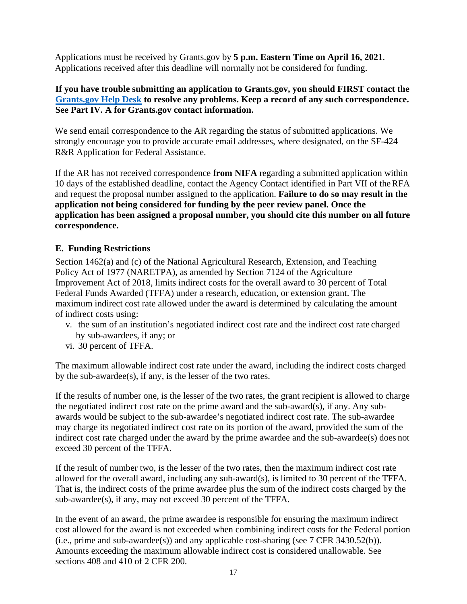Applications must be received by Grants.gov by **5 p.m. Eastern Time on April 16, 2021**. Applications received after this deadline will normally not be considered for funding.

#### **If you have trouble submitting an application to Grants.gov, you should FIRST contact the [Grants.gov Help Desk](https://www.grants.gov/web/grants/support.html) to resolve any problems. Keep a record of any such correspondence. See Part IV. A for Grants.gov contact information.**

We send email correspondence to the AR regarding the status of submitted applications. We strongly encourage you to provide accurate email addresses, where designated, on the SF-424 R&R Application for Federal Assistance.

If the AR has not received correspondence **from NIFA** regarding a submitted application within 10 days of the established deadline, contact the Agency Contact identified in Part VII of theRFA and request the proposal number assigned to the application. **Failure to do so may result in the application not being considered for funding by the peer review panel. Once the application has been assigned a proposal number, you should cite this number on all future correspondence.**

#### <span id="page-16-0"></span>**E. Funding Restrictions**

Section 1462(a) and (c) of the National Agricultural Research, Extension, and Teaching Policy Act of 1977 (NARETPA), as amended by Section 7124 of the Agriculture Improvement Act of 2018, limits indirect costs for the overall award to 30 percent of Total Federal Funds Awarded (TFFA) under a research, education, or extension grant. The maximum indirect cost rate allowed under the award is determined by calculating the amount of indirect costs using:

- v. the sum of an institution's negotiated indirect cost rate and the indirect cost rate charged by sub-awardees, if any; or
- vi. 30 percent of TFFA.

The maximum allowable indirect cost rate under the award, including the indirect costs charged by the sub-awardee(s), if any, is the lesser of the two rates.

If the results of number one, is the lesser of the two rates, the grant recipient is allowed to charge the negotiated indirect cost rate on the prime award and the sub-award(s), if any. Any subawards would be subject to the sub-awardee's negotiated indirect cost rate. The sub-awardee may charge its negotiated indirect cost rate on its portion of the award, provided the sum of the indirect cost rate charged under the award by the prime awardee and the sub-awardee(s) does not exceed 30 percent of the TFFA.

If the result of number two, is the lesser of the two rates, then the maximum indirect cost rate allowed for the overall award, including any sub-award(s), is limited to 30 percent of the TFFA. That is, the indirect costs of the prime awardee plus the sum of the indirect costs charged by the sub-awardee(s), if any, may not exceed 30 percent of the TFFA.

In the event of an award, the prime awardee is responsible for ensuring the maximum indirect cost allowed for the award is not exceeded when combining indirect costs for the Federal portion (i.e., prime and sub-awardee(s)) and any applicable cost-sharing (see 7 CFR 3430.52(b)). Amounts exceeding the maximum allowable indirect cost is considered unallowable. See sections 408 and 410 of 2 CFR 200.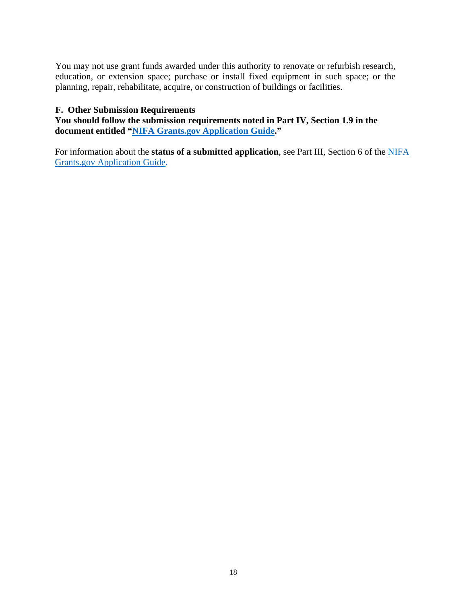You may not use grant funds awarded under this authority to renovate or refurbish research, education, or extension space; purchase or install fixed equipment in such space; or the planning, repair, rehabilitate, acquire, or construction of buildings or facilities.

#### <span id="page-17-0"></span>**F. Other Submission Requirements**

**You should follow the submission requirements noted in Part IV, Section 1.9 in the document entitled ["NIFA Grants.gov Application Guide.](https://apply07.grants.gov/apply/opportunities/instructions/PKG00249520-instructions.pdf)"**

For information about the **status of a submitted application**, see Part III, Section 6 of the [NIFA](https://apply07.grants.gov/apply/opportunities/instructions/PKG00249520-instructions.pdf)  [Grants.gov Application Guide.](https://apply07.grants.gov/apply/opportunities/instructions/PKG00249520-instructions.pdf)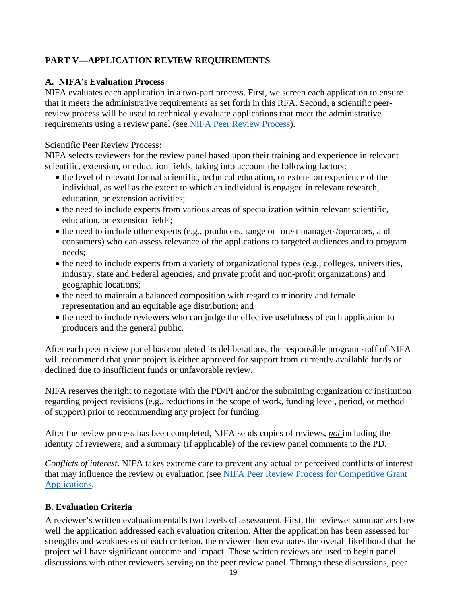# <span id="page-18-0"></span>**PART V—APPLICATION REVIEW REQUIREMENTS**

#### <span id="page-18-1"></span>**A. NIFA's Evaluation Process**

NIFA evaluates each application in a two-part process. First, we screen each application to ensure that it meets the administrative requirements as set forth in this RFA. Second, a scientific peerreview process will be used to technically evaluate applications that meet the administrative requirements using a review panel (see [NIFA Peer Review Process\)](https://nifa.usda.gov/sites/default/files/resource/NIFA-Peer-Review-Process-for-Competitive-Grant-Applications_0.pdf).

Scientific Peer Review Process:

NIFA selects reviewers for the review panel based upon their training and experience in relevant scientific, extension, or education fields, taking into account the following factors:

- the level of relevant formal scientific, technical education, or extension experience of the individual, as well as the extent to which an individual is engaged in relevant research, education, or extension activities;
- the need to include experts from various areas of specialization within relevant scientific, education, or extension fields;
- the need to include other experts (e.g., producers, range or forest managers/operators, and consumers) who can assess relevance of the applications to targeted audiences and to program needs;
- the need to include experts from a variety of organizational types (e.g., colleges, universities, industry, state and Federal agencies, and private profit and non-profit organizations) and geographic locations;
- the need to maintain a balanced composition with regard to minority and female representation and an equitable age distribution; and
- the need to include reviewers who can judge the effective usefulness of each application to producers and the general public.

After each peer review panel has completed its deliberations, the responsible program staff of NIFA will recommend that your project is either approved for support from currently available funds or declined due to insufficient funds or unfavorable review.

NIFA reserves the right to negotiate with the PD/PI and/or the submitting organization or institution regarding project revisions (e.g., reductions in the scope of work, funding level, period, or method of support) prior to recommending any project for funding.

After the review process has been completed, NIFA sends copies of reviews, *not* including the identity of reviewers, and a summary (if applicable) of the review panel comments to the PD.

*Conflicts of interest*. NIFA takes extreme care to prevent any actual or perceived conflicts of interest that may influence the review or evaluation (see NIFA Peer Review Process for Competitive Grant [Applications.](https://nifa.usda.gov/resource/nifa-peer-review-process-competitive-grant-applications)

#### <span id="page-18-2"></span>**B. Evaluation Criteria**

A reviewer's written evaluation entails two levels of assessment. First, the reviewer summarizes how well the application addressed each evaluation criterion. After the application has been assessed for strengths and weaknesses of each criterion, the reviewer then evaluates the overall likelihood that the project will have significant outcome and impact. These written reviews are used to begin panel discussions with other reviewers serving on the peer review panel. Through these discussions, peer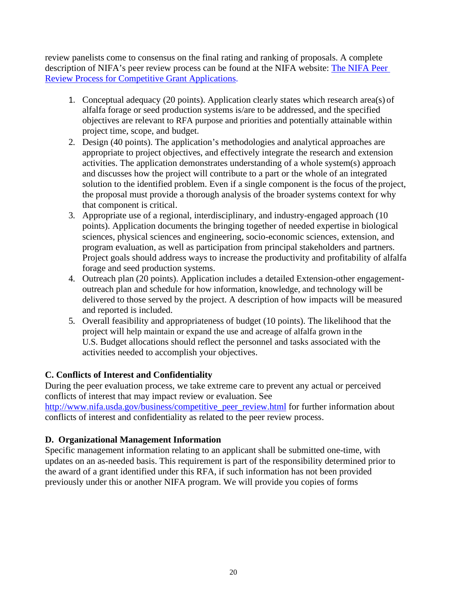review panelists come to consensus on the final rating and ranking of proposals. A complete description of NIFA's peer review process can be found at the NIFA website: [The NIFA Peer](https://nifa.usda.gov/sites/default/files/resource/NIFA-Peer-Review-Process-for-Competitive-Grant-Applications_0.pdf)  [Review Process for Competitive Grant Applications.](https://nifa.usda.gov/sites/default/files/resource/NIFA-Peer-Review-Process-for-Competitive-Grant-Applications_0.pdf)

- 1. Conceptual adequacy (20 points). Application clearly states which research area(s) of alfalfa forage or seed production systems is/are to be addressed, and the specified objectives are relevant to RFA purpose and priorities and potentially attainable within project time, scope, and budget.
- 2. Design (40 points). The application's methodologies and analytical approaches are appropriate to project objectives, and effectively integrate the research and extension activities. The application demonstrates understanding of a whole system(s) approach and discusses how the project will contribute to a part or the whole of an integrated solution to the identified problem. Even if a single component is the focus of the project, the proposal must provide a thorough analysis of the broader systems context for why that component is critical.
- 3. Appropriate use of a regional, interdisciplinary, and industry-engaged approach (10 points). Application documents the bringing together of needed expertise in biological sciences, physical sciences and engineering, socio-economic sciences, extension, and program evaluation, as well as participation from principal stakeholders and partners. Project goals should address ways to increase the productivity and profitability of alfalfa forage and seed production systems.
- 4. Outreach plan (20 points). Application includes a detailed Extension-other engagementoutreach plan and schedule for how information, knowledge, and technology will be delivered to those served by the project. A description of how impacts will be measured and reported is included.
- 5. Overall feasibility and appropriateness of budget (10 points). The likelihood that the project will help maintain or expand the use and acreage of alfalfa grown in the U.S. Budget allocations should reflect the personnel and tasks associated with the activities needed to accomplish your objectives.

#### <span id="page-19-0"></span>**C. Conflicts of Interest and Confidentiality**

During the peer evaluation process, we take extreme care to prevent any actual or perceived conflicts of interest that may impact review or evaluation. See [http://www.nifa.usda.gov/business/competitive\\_peer\\_review.html](http://www.nifa.usda.gov/business/competitive_peer_review.html) for further information about conflicts of interest and confidentiality as related to the peer review process.

# <span id="page-19-1"></span>**D. Organizational Management Information**

Specific management information relating to an applicant shall be submitted one-time, with updates on an as-needed basis. This requirement is part of the responsibility determined prior to the award of a grant identified under this RFA, if such information has not been provided previously under this or another NIFA program. We will provide you copies of forms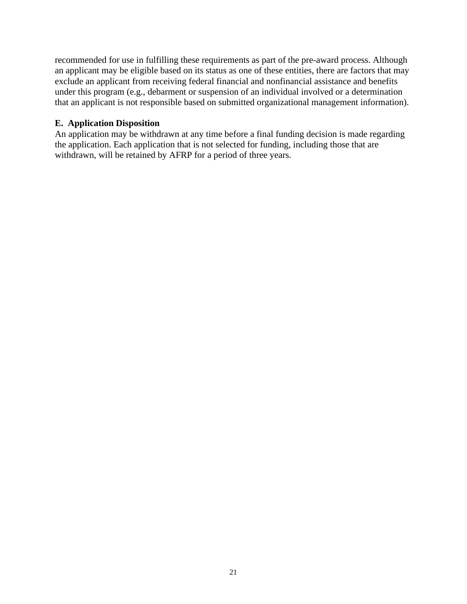recommended for use in fulfilling these requirements as part of the pre-award process. Although an applicant may be eligible based on its status as one of these entities, there are factors that may exclude an applicant from receiving federal financial and nonfinancial assistance and benefits under this program (e.g., debarment or suspension of an individual involved or a determination that an applicant is not responsible based on submitted organizational management information).

#### <span id="page-20-0"></span>**E. Application Disposition**

An application may be withdrawn at any time before a final funding decision is made regarding the application. Each application that is not selected for funding, including those that are withdrawn, will be retained by AFRP for a period of three years.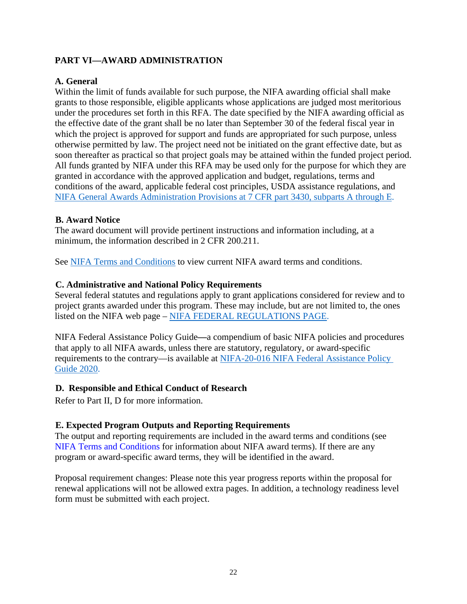# <span id="page-21-0"></span>**PART VI—AWARD ADMINISTRATION**

#### <span id="page-21-1"></span>**A. General**

Within the limit of funds available for such purpose, the NIFA awarding official shall make grants to those responsible, eligible applicants whose applications are judged most meritorious under the procedures set forth in this RFA. The date specified by the NIFA awarding official as the effective date of the grant shall be no later than September 30 of the federal fiscal year in which the project is approved for support and funds are appropriated for such purpose, unless otherwise permitted by law. The project need not be initiated on the grant effective date, but as soon thereafter as practical so that project goals may be attained within the funded project period. All funds granted by NIFA under this RFA may be used only for the purpose for which they are granted in accordance with the approved application and budget, regulations, terms and conditions of the award, applicable federal cost principles, USDA assistance regulations, and [NIFA General Awards Administration Provisions at 7 CFR part 3430, subparts A through E.](https://www.ecfr.gov/cgi-bin/text-idx?SID=0ab71b08f60a56d8bcf1aa3c30fd7047&mc=true&node=pt7.15.3430&rgn=div5)

#### <span id="page-21-2"></span>**B. Award Notice**

The award document will provide pertinent instructions and information including, at a minimum, the information described in [2 CFR 200.211.](https://www.ecfr.gov/cgi-bin/retrieveECFR?gp=&SID=3800cc220ca8fea0a0f526fd6371f2e3&mc=true&n=sp2.1.200.c&r=SUBPART&ty=HTML#se2.1.200_1211)

See [NIFA Terms and Conditions](https://nifa.usda.gov/terms-and-conditions) to view current NIFA award terms and conditions.

#### <span id="page-21-3"></span>**C. Administrative and National Policy Requirements**

Several federal statutes and regulations apply to grant applications considered for review and to project grants awarded under this program. These may include, but are not limited to, the ones listed on the NIFA web page – [NIFA FEDERAL REGULATIONS PAGE.](https://nifa.usda.gov/federal-regulations)

NIFA Federal Assistance Policy Guide**—**a compendium of basic NIFA policies and procedures that apply to all NIFA awards, unless there are statutory, regulatory, or award-specific requirements to the contrary—is available at [NIFA-20-016 NIFA Federal Assistance Policy](https://nifa.usda.gov/resource/nifa-federal-assistance-policy-guide-2018)  [Guide 2020.](https://nifa.usda.gov/resource/nifa-federal-assistance-policy-guide-2018)

#### <span id="page-21-4"></span>**D. Responsible and Ethical Conduct of Research**

Refer to Part II, D for more information.

#### <span id="page-21-5"></span>**E. Expected Program Outputs and Reporting Requirements**

The output and reporting requirements are included in the award terms and conditions (see [NIFA Terms and Conditions](https://nifa.usda.gov/terms-and-conditions) for information about NIFA award terms). If there are any program or award-specific award terms, they will be identified in the award.

Proposal requirement changes: Please note this year progress reports within the proposal for renewal applications will not be allowed extra pages. In addition, a technology readiness level form must be submitted with each project.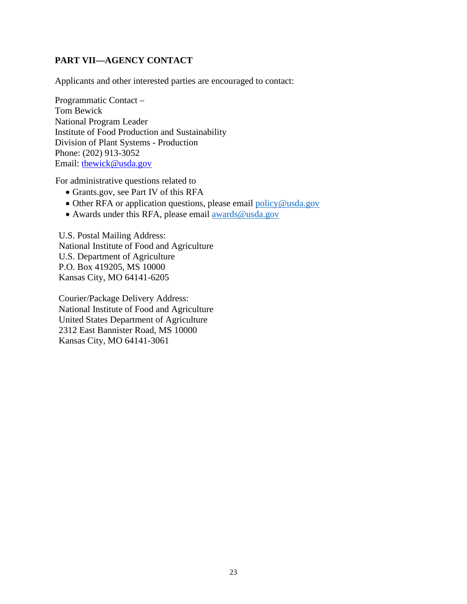# <span id="page-22-0"></span>**PART VII—AGENCY CONTACT**

Applicants and other interested parties are encouraged to contact:

Programmatic Contact – Tom Bewick National Program Leader Institute of Food Production and Sustainability Division of Plant Systems - Production Phone: (202) 913-3052 Email: tbewick@usda.gov

For administrative questions related to

- Grants.gov, see Part IV of this RFA
- Other RFA or application questions, please email [policy@usda.gov](mailto:policy@usda.gov)
- Awards under this RFA, please email [awards@usda.gov](mailto:awards@usda.gov)

U.S. Postal Mailing Address: National Institute of Food and Agriculture U.S. Department of Agriculture P.O. Box 419205, MS 10000 Kansas City, MO 64141-6205

Courier/Package Delivery Address: National Institute of Food and Agriculture United States Department of Agriculture 2312 East Bannister Road, MS 10000 Kansas City, MO 64141-3061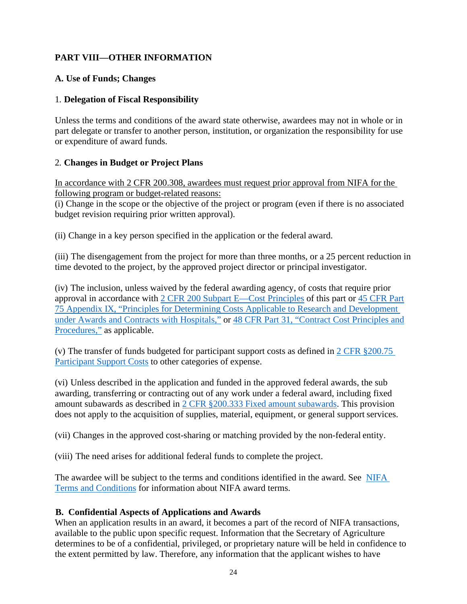# <span id="page-23-0"></span>**PART VIII—OTHER INFORMATION**

#### <span id="page-23-1"></span>**A. Use of Funds; Changes**

#### 1. **Delegation of Fiscal Responsibility**

Unless the terms and conditions of the award state otherwise, awardees may not in whole or in part delegate or transfer to another person, institution, or organization the responsibility for use or expenditure of award funds.

#### 2. **Changes in Budget or Project Plans**

In accordance with 2 CFR 200.308, awardees must request prior approval from NIFA for the following program or budget-related reasons:

(i) Change in the scope or the objective of the project or program (even if there is no associated budget revision requiring prior written approval).

(ii) Change in a key person specified in the application or the federal award.

(iii) The disengagement from the project for more than three months, or a 25 percent reduction in time devoted to the project, by the approved project director or principal investigator.

(iv) The inclusion, unless waived by the federal awarding agency, of costs that require prior approval in accordance with [2 CFR 200 Subpart E—Cost Principles](https://www.ecfr.gov/cgi-bin/text-idx?SID=8d1455fa746e944ce0170f12726f9035&mc=true&node=pt2.1.200&rgn=div5#sp2.1.200.e) of this part or [45 CFR Part](https://www.ecfr.gov/cgi-bin/text-idx?SID=1b00b3a2efe1c7b9394c99ab8824d717&mc=true&node=pt45.1.75&rgn=div5)  [75 Appendix IX, "Principles for Determining Costs Applicable to Research and Development](https://www.ecfr.gov/cgi-bin/text-idx?SID=1b00b3a2efe1c7b9394c99ab8824d717&mc=true&node=pt45.1.75&rgn=div5)  [under Awards and Contracts with Hospitals,"](https://www.ecfr.gov/cgi-bin/text-idx?SID=1b00b3a2efe1c7b9394c99ab8824d717&mc=true&node=pt45.1.75&rgn=div5) or [48 CFR Part 31, "Contract Cost Principles and](https://www.ecfr.gov/cgi-bin/text-idx?SID=3ae81eb2a18c80f69aa950f73d744cc4&mc=true&node=pt48.1.31&rgn=div5)  [Procedures,"](https://www.ecfr.gov/cgi-bin/text-idx?SID=3ae81eb2a18c80f69aa950f73d744cc4&mc=true&node=pt48.1.31&rgn=div5) as applicable.

(v) The transfer of funds budgeted for participant support costs as defined in [2 CFR §200.75](https://www.ecfr.gov/cgi-bin/text-idx?SID=d7c963e35cb8e7eae3c335283723574a&mc=true&node=pt2.1.200&rgn=div5#se2.1.200_175)  [Participant Support Costs](https://www.ecfr.gov/cgi-bin/text-idx?SID=d7c963e35cb8e7eae3c335283723574a&mc=true&node=pt2.1.200&rgn=div5#se2.1.200_175) to other categories of expense.

(vi) Unless described in the application and funded in the approved federal awards, the sub awarding, transferring or contracting out of any work under a federal award, including fixed amount subawards as described in [2 CFR §200.333 Fixed amount subawards.](https://www.ecfr.gov/cgi-bin/text-idx?SID=d7c963e35cb8e7eae3c335283723574a&mc=true&node=pt2.1.200&rgn=div5#se2.1.200_1333) This provision does not apply to the acquisition of supplies, material, equipment, or general support services.

(vii) Changes in the approved cost-sharing or matching provided by the non-federal entity.

(viii) The need arises for additional federal funds to complete the project.

The awardee will be subject to the terms and conditions identified in the award. See[NIFA](https://nifa.usda.gov/terms-and-conditions)  [Terms and Conditions](https://nifa.usda.gov/terms-and-conditions) for information about NIFA award terms.

#### <span id="page-23-2"></span>**B. Confidential Aspects of Applications and Awards**

When an application results in an award, it becomes a part of the record of NIFA transactions, available to the public upon specific request. Information that the Secretary of Agriculture determines to be of a confidential, privileged, or proprietary nature will be held in confidence to the extent permitted by law. Therefore, any information that the applicant wishes to have